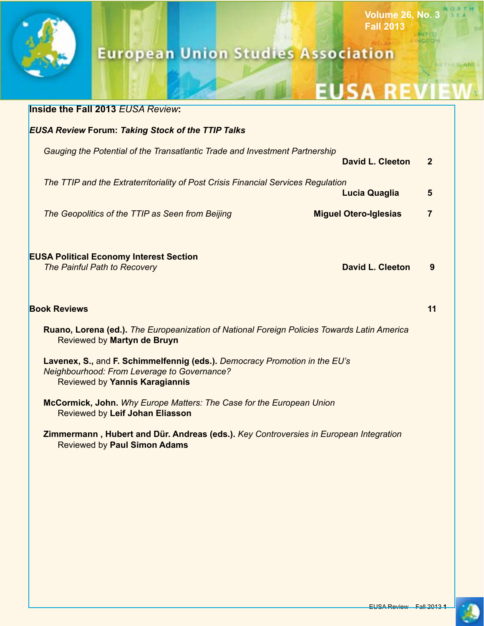

# **European Union Studies Association**

# **EUSA REVIET**

**Volume 26, No. 3**

**NITED JODDIN** 

**Fall 2013**

|                                                                                                                                                             | <b>Inside the Fall 2013 EUSA Review:</b>                                                                                     |                              |                |  |  |  |  |  |
|-------------------------------------------------------------------------------------------------------------------------------------------------------------|------------------------------------------------------------------------------------------------------------------------------|------------------------------|----------------|--|--|--|--|--|
|                                                                                                                                                             | <b>EUSA Review Forum: Taking Stock of the TTIP Talks</b>                                                                     |                              |                |  |  |  |  |  |
|                                                                                                                                                             | Gauging the Potential of the Transatlantic Trade and Investment Partnership<br>David L. Cleeton<br>$\overline{2}$            |                              |                |  |  |  |  |  |
|                                                                                                                                                             | The TTIP and the Extraterritoriality of Post Crisis Financial Services Regulation<br><b>Lucia Quaglia</b>                    |                              |                |  |  |  |  |  |
|                                                                                                                                                             | The Geopolitics of the TTIP as Seen from Beijing                                                                             | <b>Miguel Otero-Iglesias</b> | $\overline{7}$ |  |  |  |  |  |
|                                                                                                                                                             | <b>EUSA Political Economy Interest Section</b><br>The Painful Path to Recovery                                               | <b>David L. Cleeton</b>      | 9              |  |  |  |  |  |
|                                                                                                                                                             | <b>Book Reviews</b>                                                                                                          |                              | 11             |  |  |  |  |  |
| Ruano, Lorena (ed.). The Europeanization of National Foreign Policies Towards Latin America<br>Reviewed by Martyn de Bruyn                                  |                                                                                                                              |                              |                |  |  |  |  |  |
| Lavenex, S., and F. Schimmelfennig (eds.). Democracy Promotion in the EU's<br>Neighbourhood: From Leverage to Governance?<br>Reviewed by Yannis Karagiannis |                                                                                                                              |                              |                |  |  |  |  |  |
|                                                                                                                                                             | McCormick, John. Why Europe Matters: The Case for the European Union<br>Reviewed by Leif Johan Eliasson                      |                              |                |  |  |  |  |  |
|                                                                                                                                                             | Zimmermann, Hubert and Dür. Andreas (eds.). Key Controversies in European Integration<br><b>Reviewed by Paul Simon Adams</b> |                              |                |  |  |  |  |  |
|                                                                                                                                                             |                                                                                                                              |                              |                |  |  |  |  |  |
|                                                                                                                                                             |                                                                                                                              |                              |                |  |  |  |  |  |
|                                                                                                                                                             |                                                                                                                              |                              |                |  |  |  |  |  |
|                                                                                                                                                             |                                                                                                                              |                              |                |  |  |  |  |  |
|                                                                                                                                                             |                                                                                                                              |                              |                |  |  |  |  |  |

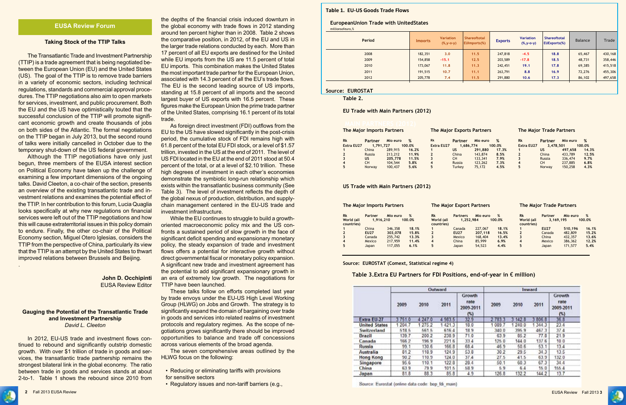

#### **Taking Stock of the TTIP Talks**

The Transatlantic Trade and Investment Partnership (TTIP) is a trade agreement that is being negotiated between the European Union (EU) and the United States (US). The goal of the TTIP is to remove trade barriers in a variety of economic sectors, including technical regulations, standards and commercial approval procedures. The TTIP negotiations also aim to open markets for services, investment, and public procurement. Both the EU and the US have optimistically touted that the successful conclusion of the TTIP will promote significant economic growth and create thousands of jobs on both sides of the Atlantic. The formal negotiations on the TTIP began in July 2013, but the second round of talks were initially cancelled in October due to the temporary shut-down of the US federal government.

Although the TTIP negotiations have only just begun, three members of the EUSA interest section on Political Economy have taken up the challenge of examining a few important dimensions of the ongoing talks. David Cleeton, a co-chair of the section, presents an overview of the existing transatlantic trade and investment relations and examines the potential effect of the TTIP. In her contribution to this forum, Lucia Quaglia looks specifically at why new regulations on financial services were left out of the TTIP negotiations and how this will cause extraterritorial issues in this policy domain to endure. Finally, the other co-chair of the Political Economy section, Miguel Otero Iglesias, considers the TTIP from the perspective of China, particularly its view that the TTIP is an attempt by the United States to thwart improved relations between Brussels and Beijing.

.

### **John D. Occhipinti**  EUSA Review Editor

#### **Gauging the Potential of the Transatlantic Trade and Investment Partnership** *David L. Cleeton*

In 2012, EU-US trade and investment flows continued to rebound and significantly outstrip domestic growth. With over \$1 trillion of trade in goods and services, the transatlantic trade partnership remains the strongest bilateral link in the global economy. The ratio between trade in goods and services stands at about 2-to-1. Table 1 shows the rebound since 2010 from the depths of the financial crisis induced downturn in the global economy with trade flows in 2012 standing around ten percent higher than in 2008. Table 2 shows the comparative position, in 2012, of the EU and US in the larger trade relations conducted by each. More than 17 percent of all EU exports are destined for the United while EU imports from the US are 11.5 percent of total EU imports. This combination makes the United States the most important trade partner for the European Union, associated with 14.3 percent of all the EU's trade flows. The EU is the second leading source of US imports, standing at 15.8 percent of all imports and the second largest buyer of US exports with 16.5 percent. These figures make the European Union the prime trade partner of the United States, comprising 16.1 percent of its total trade.

As foreign direct investment (FDI) outflows from the EU to the US have slowed significantly in the post-crisis period, the cumulative stock of FDI remains high with 61.8 percent of the total EU FDI stock, or a level of \$1.57 trillion, invested in the US at the end of 2011. The level of US FDI located in the EU at the end of 2011 stood at 50.4 percent of the total, or at a level of \$2.10 trillion. These high degrees of investment in each other's economies demonstrate the symbiotic long-run relationship which exists within the transatlantic business community (See Table 3). The level of investment reflects the depth of the global nexus of production, distribution, and supplychain management centered in the EU-US trade and investment infrastructure.

While the EU continues to struggle to build a growthoriented macroeconomic policy mix and the US confronts a sustained period of slow growth in the face of significant deficit spending and expansionary monetary policy, the steady expansion of trade and investment flows offers a potential for interactive growth without direct governmental fiscal or monetary policy expansion. A significant new trade and investment agreement has the potential to add significant expansionary growth in an era of extremely low growth. The negotiations for TTIP have been launched.

These talks follow on efforts completed last year by trade envoys under the EU-US High Level Working Group (HLWG) on Jobs and Growth. The strategy is to significantly expand the domain of bargaining over trade in goods and services into related realms of investment protocols and regulatory regimes. As the scope of negotiations grows significantly there should be improved opportunities to balance and trade off concessions across various elements of the broad agenda.

The seven comprehensive areas outlined by the HLWG focus on the following:

- Reducing or eliminating tariffs with provisions for sensitive sectors
- Regulatory issues and non-tariff barriers (e.g.,

#### **Table 1. EU-US Goods Trade Flows**

# **EuropeanUnion Trade with UnitedStates**

| Period | <b>Imports</b> | <b>Variation</b><br>$(%$ (%, y-o-y) | Shareoftotal<br>EUImports(%) | <b>Exports</b> | <b>Variation</b><br>$(\%, y-o-y)$ | <b>Shareoftotal</b><br><b>EUExports(%)</b> | <b>Balance</b> | Trade   |
|--------|----------------|-------------------------------------|------------------------------|----------------|-----------------------------------|--------------------------------------------|----------------|---------|
| 2008   | 182,351        | 3.0                                 | 11.5                         | 247,818        | $-4.5$                            | 18.8                                       | 65,467         | 430,168 |
| 2009   | 154,858        | $-15.1$                             | 12.5                         | 203,589        | $-17.8$                           | 18.5                                       | 48,731         | 358,446 |
| 2010   | 173,067        | 11.8                                | 11.3                         | 242,451        | 19.1                              | 17.8                                       | 69,385         | 415,518 |
| 2011   | 191,515        | 10.7                                | 11.1                         | 263,791        | 8.8                               | 16.9                                       | 72,276         | 455,306 |
| 2012   | 205,778        | 7.4                                 | 11.5                         | 291,880        | 10.6                              | 17.3                                       | 86,102         | 497,658 |

#### **Source: EUROSTAT**

**Table 2.** 

**EU Trade with Main Partners (2012)**

|                   |               | <b>The Major Imports Partners</b> |        |                   |               | <b>The Major Exports Partners</b> |        | <b>The Major Trade Partners</b> |           |          |        |
|-------------------|---------------|-----------------------------------|--------|-------------------|---------------|-----------------------------------|--------|---------------------------------|-----------|----------|--------|
| <b>Rk</b>         | Partner       | Mio euro                          | %      | Rk                | Partner       | Mio euro                          | %      | <b>Rk</b>                       | Partner   | Mio euro | %      |
| <b>Extra EU27</b> | 1,791,727     |                                   | 100.0% | <b>Extra EU27</b> | 1.686.774     |                                   | 100.0% | <b>Extra EU27</b>               | 3.478.501 |          | 100.0% |
|                   | China         | 289,915                           | 16.2%  |                   | US            | 291.880                           | 17.3%  |                                 | US        | 497.658  | 14.3%  |
|                   | <b>Russia</b> | 213,212                           | 11.9%  | 2                 | China         | 143,874                           | 8.5%   |                                 | China     | 433,789  | 12.5%  |
|                   | <b>US</b>     | 205,778                           | 11.5%  |                   | <b>CH</b>     | 133,341                           | 7.9%   |                                 | Russia    | 336,474  | 9.7%   |
| 4                 | <b>CH</b>     | 104,544                           | 5.8%   | 4                 | <b>Russia</b> | 123,262                           | 7.3%   | 4                               | <b>CH</b> | 237,885  | 6.8%   |
|                   | Norway        | 100,437                           | 5.6%   | 5.                | <b>Turkey</b> | 75.172                            | 4.5%   | 5                               | Norway    | 150,258  | 4.3%   |
|                   |               |                                   |        |                   |               |                                   |        |                                 |           |          |        |

**US Trade with Main Partners (2012)**

| The Major Imports Partners |                      |          |             |                         | <b>The Major Export Partners</b> |          |             |                  | <b>The Major Trade Partners</b> |          |             |  |
|----------------------------|----------------------|----------|-------------|-------------------------|----------------------------------|----------|-------------|------------------|---------------------------------|----------|-------------|--|
| <b>Rk</b><br>World (all    | Partner<br>1,916,210 | Mio euro | %<br>100.0% | <b>Rk</b><br>World (all | <b>Partners</b><br>1,252,984     | Mio euro | %<br>100.0% | Rk<br>World (all | <b>Partner</b><br>3,169,195     | Mio euro | %<br>100.0% |  |
| countries)                 |                      |          |             | countries)              |                                  |          |             | countries)       |                                 |          |             |  |
|                            | China                | 346,358  | 18.1%       |                         | Canada                           | 227,067  | 18.1%       |                  | <b>EU27</b>                     | 510.196  | 16.1%       |  |
|                            | <b>EU27</b>          | 303,078  | 15.8%       |                         | <b>EU27</b>                      | 207.118  | 16.5%       |                  | Canada                          | 482,809  | 15.2%       |  |
| 3                          | Canada               | 255,742  | 13.3%       | 3                       | Mexico                           | 168,404  | 13.4%       | 3                | China                           | 432,357  | 13.6%       |  |
| $\overline{\mathbf{4}}$    | Mexico               | 217,959  | 11.4%       | 4                       | China                            | 85,999   | 6.9%        | 4                | Mexico                          | 386,362  | 12.2%       |  |
| 5                          | Japan                | 117,055  | 6.1%        | 5                       | Japan                            | 54,523   | 4.4%        | 5                | Japan                           | 171,577  | 5.4%        |  |

**Source: EUROSTAT (Comext, Statistical regime 4)**

### **Table 3.Extra EU Partners for FDI Positions, end-of-year in** € **million)**

|                      |         |         | Outward    |                                    | Inward  |            |         |                                    |  |
|----------------------|---------|---------|------------|------------------------------------|---------|------------|---------|------------------------------------|--|
|                      | 2009    | 2010    | 2011       | Growth<br>rate<br>2009-2011<br>(%) | 2009    | 2010       | 2011    | Growth<br>rate<br>2009-2011<br>(%) |  |
| Extra EU-27          | 3751.0  | 4 247.0 | 983.5<br>и | 32.9                               | 2 783.3 | 142.8<br>3 | 3 806.8 | 36.8                               |  |
| <b>United States</b> | 1 204.7 | 275.2   | 1421.3     | 18.0                               | 1089.7  | 240.0      | 344.3   | 23.4                               |  |
| Switzerland          | 518.5   | 561.5   | 616.4      | 18.9                               | 340.0   | 395.9      | 467.3   | 37.4                               |  |
| <b>Brazil</b>        | 139.7   | 200.2   | 236.9      | 71.0                               | 63.9    | 65.2       | 77.8    | 21.9                               |  |
| Canada               | 166.2   | 196.9   | 221.6      | 33.4                               | 125.0   | 1440       | 137.6   | 100                                |  |
| Russia               | 99.1    | 130.6   | 166.8      | 68.4                               | 46.9    | 50.6       | 53.1    | 13.4                               |  |
| Australia            | 81.2    | 118.9   | 124.9      | 53.8                               | 30.2    | 29.5       | 34.3    | 13.5                               |  |
| <b>Hong Kong</b>     | 90.2    | 110.9   | 124.0      | 37.4                               | 27.5    | 41.5       | 63.9    | 132.0                              |  |
| Singapore            | 95.6    | 110.1   | 122.8      | 20.4                               | 50.1    | 60.3       | 67.3    | 34.4                               |  |
| China                | 63.9    | 799     | 101.5      | 58.9                               | 5.9     | 6.4        | 150     | 155.4                              |  |
| Japan                | 81.8    | 88.3    | 85.8       | 4.9                                | 126.8   | 132 2      | 144.2   | 13.7                               |  |

Source: Eurostat (online data code: bop fdi main)

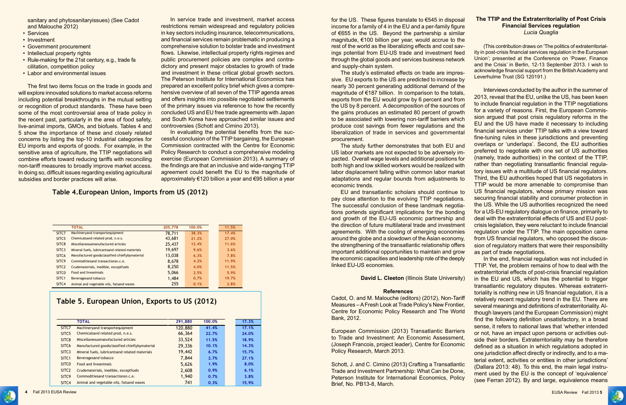

sanitary and phytosanitaryissues) (See Cadot and Malouche 2012)

- Services
- Investment
- Government procurement
- Intellectual property rights
- Rule-making for the 21st century, e.g., trade fa cilitation, competition policy
- Labor and environmental issues

The first two items focus on the trade in goods and will explore innovated solutions to market access reforms including potential breakthroughs in the mutual setting or recognition of product standards. These have been some of the most controversial area of trade policy in the recent past, particularly in the area of food safety, live-animal imports, GMOs, and biofuels. Tables 4 and 5 show the importance of these and closely related concerns by listing the top-10 industrial categories for EU imports and exports of goods. For example, in the sensitive area of agriculture, the TTIP negotiations will combine efforts toward reducing tariffs with reconciling non-tariff measures to broadly improve market access. In doing so, difficult issues regarding existing agricultural subsidies and border practices will arise.

for the US. These figures translate to  $\epsilon$ 545 in disposal income for a family of 4 in the EU and a per-family figure of €655 in the US. Beyond the partnership a sim magnitude,  $€100$  billion per year, would accrue to rest of the world as the liberalizing effects and cost ings potential from EU-US trade and investment through the global goods and services business net and supply-chain system.

In service trade and investment, market access restrictions remain widespread and regulatory policies in key sectors including insurance, telecommunications, and financial services remain problematic in producing a comprehensive solution to bolster trade and investment flows. Likewise, intellectual property rights regimes and public procurement policies are complex and contradictory and present major obstacles to growth of trade and investment in these critical global growth sectors. The Peterson Institute for International Economics has prepared an excellent policy brief which gives a comprehensive overview of all seven of the TTIP agenda areas and offers insights into possible negotiated settlements of the primary issues via reference to how the recently concluded US and EU free trade agreements with Japan and South Korea have approached similar issues and controversies (Schott and Cimino 2013).

The study's estimated effects on trade are imp sive. EU exports to the US are predicted to increase nearly 30 percent generating additional demand of magnitude of  $€187$  billion. In comparison to the to exports from the EU would grow by 6 percent and the US by 8 percent. A decomposition of the source the gains produces an estimated 80 percent of growth. to be associated with lowering non-tariff barriers which produce cost savings from fewer regulations and liberalization of trade in services and government procurement.

The study further demonstrates that both EU US labor markets are not expected to be adversel pacted. Overall wage levels and additional position both high and low skilled workers would be realized labor displacement falling within common labor ma adaptations and regular bounds from adjustment economic trends.

EU and transatlantic scholars should continue pay close attention to the evolving TTIP negotiation The successful conclusion of these landmark negotiations portends significant implications for the bon and growth of the EU-US economic partnership the direction of future multilateral trade and investrent agreements. With the cooling of emerging economies around the globe and a slowdown of the Asian economy the strengthening of the transatlantic relationship of important additional opportunities to maintain and the economic capacities and leadership role of the de linked EU-US economies.

In evaluating the potential benefits from the successful conclusion of the TTIP bargaining, the European Commission contracted with the Centre for Economic Policy Research to conduct a comprehensive modeling exercise (European Commission 2013). A summary of the findings are that an inclusive and wide-ranging TTIP agreement could benefit the EU to the magnitude of approximately €120 billion a year and €95 billion a year

> Cadot, O. and M. Malouche (editors) (2012), Non-Tariff Measures – A Fresh Look at Trade Policy's New Frontier, Centre for Economic Policy Research and The World Bank, 2012. European Commission (2013) Transatlantic Barriers to Trade and Investment: An Economic Assessment, (Joseph Francois, project leader), Centre for Economic Policy Research, March 2013. Schott, J. and C. Cimino (2013) Crafting a Transatlantic Trade and Investment Partnership: What Can be Done, Peterson Institute for International Economics, Policy Brief, No. PB13-8, March.



**The TTIP and the Extraterritoriality of Post Crisis Financial Services regulation**

| milar  | Lucia Quaglia                                                    |
|--------|------------------------------------------------------------------|
| o the  |                                                                  |
| sav-   | (This contribution draws on 'The politics of extraterritorial-   |
| feed   | ity in post-crisis financial services regulation in the European |
| work   | Union'; presented at the Conference on 'Power, Finance           |
|        | and the Crisis' in Berlin, 12-13 September 2013. I wish to       |
| pres-  | acknowledge financial support from the British Academy and       |
| se by  | Leverhulme Trust (SG 120191.)                                    |
| of the |                                                                  |
| otals, | Interviews conducted by the author in the summer of              |
| from   | 2013, reveal that the EU, unlike the US, has been keen           |
| es of  | to include financial regulation in the TTIP negotiations         |
| owth   | for a variety of reasons. First, the European Commis-            |
| vhich  | sion argued that post crisis regulatory reforms in the           |
| d the  | EU and the US have made it necessary to including                |
| ental  | financial services under TTIP talks with a view toward           |
|        | fine-tuning rules in these jurisdictions and preventing          |
| and    | overlaps or 'underlaps'. Second, the EU authorities              |
| y im-  | preferred to negotiate with one set of US authorities            |
| าร for | (namely, trade authorities) in the context of the TTIP,          |
| I with | rather than negotiating transatlantic financial regula-          |
| arket  | tory issues with a multitude of US financial regulators.         |
| ts to  | Third, the EU authorities hoped that US negotiators in           |
|        | TTIP would be more amenable to compromise than                   |
| ue to  | US financial regulators, whose primary mission was               |
| ions.  | securing financial stability and consumer protection in          |
| otia-  | the US. While the US authorities recognized the need             |
| ding   | for a US-EU regulatory dialogue on finance, primarily to         |
| and    | deal with the extraterritorial effects of US and EU post-        |
| ment   | crisis legislation, they were reluctant to include financial     |
| mies   | regulation under the TTIP. The main opposition came              |
| omy,   | from US financial regulators, who opposed the discus-            |
| offers | sion of regulatory matters that were their responsibility        |
| grow   | as part of trade negotiations.                                   |
| eeply  | In the end, financial regulation was not included in             |
|        | TTIP. Yet, the problem remains of how to deal with the           |
|        | extraterritorial effects of post-crisis financial regulation     |

**David L. Cleeton** (Illinois State University) **References** in the EU and US, which has the potential to trigger transatlantic regulatory disputes. Whereas extraterritoriality is nothing new in US financial regulation, it is a relatively recent regulatory trend in the EU. There are several meanings and definitions of extraterritoriality. Although lawyers (and the European Commission) might find the following definition unsatisfactory, in a broad sense, it refers to national laws that 'whether intended or not, have an impact upon persons or activities outside their borders. Extraterritoriality may be therefore defined as a situation in which regulations adopted in one jurisdiction affect directly or indirectly, and to a material extent, activities or entities in other jurisdictions' (Dallara 2013: 48). To this end, the main legal instrument used by the EU is the concept of 'equivalence' (see Ferran 2012). By and large, equivalence means

### **Table 5. European Union, Exports to US (2012)**

|                   | <b>TOTAL</b>                                   | 291,880 | 100.0% | 17.3% |
|-------------------|------------------------------------------------|---------|--------|-------|
| SITC7             | Machineryand transportequipment                | 120,880 | 41.4%  | 17.1% |
| SITC <sub>5</sub> | Chemicalsand related prod, n.e.s.              | 66,364  | 22.7%  | 24.0% |
| SITC <sub>8</sub> | Miscellaneousmanufactured articles             | 33,524  | 11.5%  | 18.9% |
| SITC <sub>6</sub> | Manufactured goodsclassified chieflybymaterial | 29,336  | 10.1%  | 14.3% |
| SITC <sub>3</sub> | Mineral fuels, lubricantsand related materials | 19,442  | 6.7%   | 15.7% |
| SITC <sub>1</sub> | Beveragesand tobacco                           | 7.844   | 2.7%   | 27.1% |
| SITC <sub>0</sub> | <b>Food and liveanimals</b>                    | 5,626   | 1.9%   | 8.0%  |
| SITC <sub>2</sub> | Crudematerials, inedible, exceptfuels          | 2,608   | 0.9%   | 6.1%  |
| SITC <sub>9</sub> | Commoditiesand transactionsn.c.e.              | 1,940   | 0.7%   | 3.8%  |
| SITC4             | Animal and vegetable oils, fatsand waxes       | 741     | 0.3%   | 15.9% |

### **Table 4.European Union, Imports from US (2012)**

|                   | <b>TOTAL</b>                                   | 205,778 | 100.0% | 11.5% |  |
|-------------------|------------------------------------------------|---------|--------|-------|--|
| SITC7             | Machineryand transportequipment                | 78,711  | 38.3%  | 17.4% |  |
| SITC <sub>5</sub> | Chemicalsand related prod, n.e.s.              | 43,681  | 21.2%  | 27.0% |  |
| SITC8             | Miscellaneousmanufactured articles             | 25,437  | 12.4%  | 11.6% |  |
| SITC <sub>3</sub> | Mineral fuels, lubricantsand related materials | 19,697  | 9.6%   | 3.6%  |  |
| SITC <sub>6</sub> | Manufactured goodsclassified chieflybymaterial | 13,038  | 6.3%   | 7.8%  |  |
| SITC <sub>9</sub> | Commodities and transactions n.c.e.            | 8,678   | 4.2%   | 11.9% |  |
| SITC <sub>2</sub> | Crudematerials, inedible, exceptfuels          | 8,250   | 4.0%   | 11.5% |  |
| SITC <sub>0</sub> | <b>Food and liveanimals</b>                    | 5,066   | 2.5%   | 5.9%  |  |
| SITC <sub>1</sub> | Beveragesand tobacco                           | 1,484   | 0.7%   | 19.7% |  |
| SITC4             | Animal and vegetable oils, fatsand waxes       | 255     | 0.1%   | 2.8%  |  |
|                   |                                                |         |        |       |  |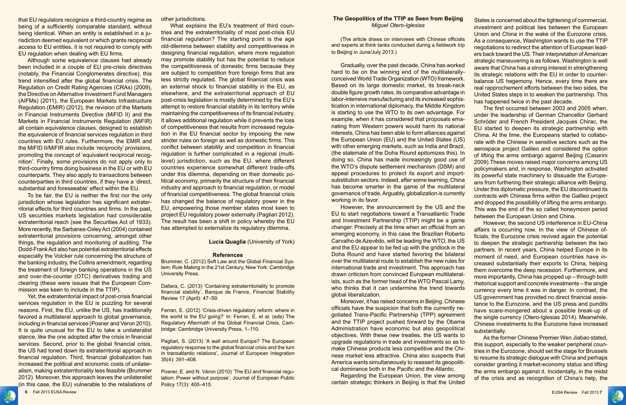

that EU regulators recognize a third-country regime as being of a sufficiently comparable standard, without being identical. When an entity is established in a jurisdiction deemed equivalent or which grants reciprocal access to EU entities, it is not required to comply with EU regulation when dealing with EU firms.

Although some equivalence clauses had already been included in a couple of EU pre-crisis directives (notably, the Financial Conglomerates directive), this trend intensified after the global financial crisis. The Regulation on Credit Rating Agencies (CRAs) (2009), the Directive on Alternative Investment Fund Managers (AIFMs) (2011), the European Markets Infrastructure Regulation (EMIR) (2012), the revision of the Markets in Financial Instruments Directive (MiFID II) and the Markets in Financial Instruments Regulation (MiFIR) all contain equivalence clauses, designed to establish the equivalence of financial services regulation in third countries with EU rules. Furthermore, the EMIR and the MiFID II/MiFIR also include 'reciprocity' provisions, promoting the concept of 'equivalent reciprocal recognition'. Finally, some provisions do not apply only to third-country firms doing business in the EU or with EU counterparts. They also apply to transactions between counterparties in third countries, if they have a 'direct, substantial and foreseeable' effect within the EU.

To be fair, the EU is neither the first nor the only jurisdiction whose legislation has significant extraterritorial effects for third countries and firms. In the past, US securities markets legislation had considerable extraterritorial reach (see the Securities Act of 1933). More recently, the Sarbanes-Oxley Act (2004) contained extraterritorial provisions concerning, amongst other things, the regulation and monitoring of auditing. The Dodd-Frank Act also has potential extraterritorial effects especially the Volcker rule concerning the structure of the banking industry, the Collins amendment, regarding the treatment of foreign banking operations in the US and over-the-counter (OTC) derivatives trading and clearing (these were issues that the European Commission was keen to include in the TTIP).

Yet, the extraterritorial impact of post-crisis financial services regulation in the EU is puzzling for several reasons. First, the EU, unlike the US, has traditionally favored a multilateral approach to global governance, including in financial services (Posner and Veron 2010). It is quite unusual for the EU to take a unilateralist stance, like the one adopted after the crisis in financial services. Second, prior to the global financial crisis, the US had toned down its extraterritorial approach in financial regulation. Third, financial globalization has increased the political and economic costs of unilateralism, making extraterritoriality less feasible (Brummer 2012). Moreover, this approach leaves the unilateralist (in this case, the EU) vulnerable to the retaliations of other jurisdictions.

What explains the EU's treatment of third countries and the extraterritoriality of most post-crisis EU financial regulation? The starting point is the age old-dilemma between stability and competitiveness in designing financial regulation, where more regulation may promote stability but has the potential to reduce the competitiveness of domestic firms because they are subject to competition from foreign firms that are less strictly regulated. The global financial crisis was an external shock to financial stability in the EU, as elsewhere, and the extraterritorial approach of EU post-crisis legislation is mostly determined by the EU's attempt to restore financial stability in its territory while maintaining the competitiveness of its financial industry. It allows additional regulation while it prevents the loss of competitiveness that results from increased regulation in the EU financial sector by imposing the new stricter rules on foreign as well as domestic firms. This conflict between stability and competition in financial regulation is further complicated in a regional (multilevel) jurisdiction, such as the EU, where different countries experience somewhat different trade-offs under this dilemma, depending on their domestic political economy, primarily the structure of their financial industry and approach to financial regulation, or model of financial competitiveness. The global financial crisis has changed the balance of regulatory power in the EU, empowering those member states most keen to project EU regulatory power externally (Pagliari 2012). The result has been a shift in policy whereby the EU has attempted to externalize its regulatory dilemma.

### **Lucia Quaglia** (University of York)

#### **References**

Brummer, C. (2012) Soft Law and the Global Financial System: Rule Making in the 21st Century, New York: Cambridge University Press.

Dallara, C. (2013) 'Containing extraterritoriality to promote financial stability', Banque de France, Financial Stability Review 17 (April): 47–59.

Ferran, E. (2012) 'Crisis-driven regulatory reform: where in the world is the EU going?' In: Ferran, E. et al. (eds) The Regulatory Aftermath of the Global Financial Crisis, Cambridge: Cambridge University Press, 1–110.

Pagliari, S. (2013) 'A wall around Europe? The European regulatory response to the global financial crisis and the turn in transatlantic relations', Journal of European Integration 35(4): 391–408.

Posner, E. and N. Véron (2010) 'The EU and financial regulation: Power without purpose', Journal of European Public Policy 17(3): 400–415.

### **The Geopolitics of the TTIP as Seen from Beijing** *Miguel Otero-Iglesias*

(The article draws on interviews with Chinese officials Gradually, over the past decade, China has worked As a consequence, Washington wants to use the TTIP negotiations to redirect the attention of European leaders back toward the US. Their interpretation of American strategic maneuvering is as follows. Washington is well aware that China has a strong interest in strengthening its strategic relations with the EU in order to counterbalance US hegemony. Hence, every time there are real rapprochement efforts between the two sides, the United States steps in to weaken the partnership. This has happened twice in the past decade.

and experts at think tanks conducted during a fieldwork trip to Beijing in June/July 2013.) hard to be on the winning end of the multilaterallyconceived World Trade Organization (WTO) framework. Based on its large domestic market, its break-neck double figure growth rates, its comparative advantage in labor-intensive manufacturing and its increased sophistication in international diplomacy, the Middle Kingdom is starting to use the WTO to its own advantage. For example, when it has considered that proposals emanating from Western powers would harm its national interests, China has been able to form alliances against the European Union (EU) and the United States (US) with other emerging markets, such as India and Brazil, (the stalemate of the Doha Round epitomizes this). In doing so, China has made increasingly good use of the WTO's dispute settlement mechanism (DSM) and appeal procedures to protect its export and importsubstitution sectors. Indeed, after some learning, China has become smarter in the game of the multilateral governance of trade. Arguably, globalization is currently working in its favor. However, the announcement by the US and the EU to start negotiations toward a Transatlantic Trade The first occurred between 2003 and 2005 when, under the leadership of German Chancellor Gerhard Schröder and French President Jacques Chirac, the EU started to deepen its strategic partnership with China. At the time, the Europeans started to collaborate with the Chinese in sensitive sectors such as the aerospace project Galileo and considered the option of lifting the arms embargo against Beijing (Casarini 2009).These moves raised major concerns among US policymakers and, in response, Washington activated its powerful state machinery to dissuade the Europeans from furthering their strategic alliance with Beijing. Under this diplomatic pressure, the EU discontinued its contracts with Chinese firms within the Galileo project and dropped the possibility of lifting the arms embargo. This was the end of the so called honeymoon period

States is concerned about the tightening of commercial, investment and political ties between the European Union and China in the wake of the Eurozone crisis.

and Investment Partnership (TTIP) might be a game changer. Precisely at the time when an official from an emerging economy, in this case the Brazilian Roberto Carvalho de Azevêdo, will be leading the WTO, the US and the EU appear to be fed up with the gridlock in the Doha Round and have started favoring the bilateral over the multilateral route to establish the new rules for international trade and investment. This approach has drawn criticism from convinced European multilateralists, such as the former head of the WTO Pascal Lamy, who thinks that it can undermine the trend towards global liberalization. Moreover, it has raised concerns in Beijing. Chinese between the European Union and China. However, the second US interference in EU-China affairs is occurring now. In the view of Chinese officials, the Eurozone crisis revived again the potential to deepen the strategic partnership between the two partners. In recent years, China helped Europe in its moment of need, and European countries have increased substantially their exports to China, helping them overcome the deep recession. Furthermore, and more importantly, China has propped up – through both rhetorical support and concrete investments – the single currency every time it was in danger. In contrast, the US government has provided no direct financial assistance to the Eurozone, and the US press and pundits have scare-mongered about a possible break-up of the single currency (Otero-Iglesias 2014). Meanwhile, Chinese investments to the Eurozone have increased substantially.

officials have the suspicion that both the currently negotiated Trans-Pacific Partnership (TPP) agreement and the TTIP project pushed forward by the Obama Administration have economic but also geopolitical objectives. With these new treaties, the US wants to upgrade regulations in trade and investments so as to make Chinese products less competitive and the Chinese market less attractive. China also suspects that America wants simultaneously to reassert its geopolitical dominance both in the Pacific and the Atlantic. Regarding the European Union, the view among certain strategic thinkers in Beijing is that the United As the former Chinese Premier Wen Jiabao stated, this support, especially to the weaker peripheral countries in the Eurozone, should set the stage for Brussels to resume its strategic dialogue with China and perhaps consider granting it market-economy status and lifting the arms embargo against it. Incidentally, in the midst of the crisis and as recognition of China's help, the

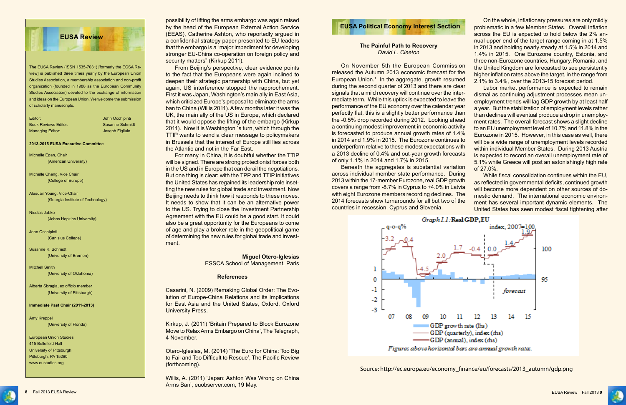### **The Painful Path to Recovery** *David L. Cleeton*

On November 5th the European Commission released the Autumn 2013 economic forecast for the European Union.<sup>1</sup> In the aggregate, growth resumed during the second quarter of 2013 and there are clear signals that a mild recovery will continue over the intermediate term. While this uptick is expected to leave the performance of the EU economy over the calendar year perfectly flat, this is a slightly better performance than the -0.5% drop recorded during 2012. Looking ahead a continuing modest improvement in economic activity is forecasted to produce annual growth rates of 1.4% in 2014 and 1.9% in 2015. The Eurozone continues to underperform relative to these modest expectations with a 2013 decline of 0.4% and out-year growth forecasts of only 1.1% in 2014 and 1.7% in 2015. Beneath the aggregates is substantial variation the United Kingdom are forecasted to see persistently higher inflation rates above the target, in the range from 2.1% to 3.4%, over the 2013-15 forecast period. Labor market performance is expected to remain dismal as continuing adjustment processes mean unemployment trends will lag GDP growth by at least half a year. But the stabilization of employment levels rather than declines will eventual produce a drop in unemployment rates. The overall forecast shows a slight decline to an EU unemployment level of 10.7% and 11.8% in the Eurozone in 2015. However, in this case as well, there will be a wide range of unemployment levels recorded within individual Member States. During 2013 Austria is expected to record an overall unemployment rate of 5.1% while Greece will post an astonishingly high rate of 27.0%.

On the whole, inflationary pressures are only mildly problematic in a few Member States. Overall inflation across the EU is expected to hold below the 2% annual upper end of the target range coming in at 1.5% in 2013 and holding nearly steady at 1.5% in 2014 and 1.4% in 2015. One Eurozone country, Estonia, and three non-Eurozone countries, Hungary, Romania, and



**EUSA Political Economy Interest Section**<br>
possibility of lifting the arms embargo was again raised<br> **EUSA Political Economy Interest Section** by the head of the European External Action Service (EEAS), Catherine Ashton, who reportedly argued in a confidential strategy paper presented to EU leaders that the embargo is a "major impediment for developing stronger EU-China co-operation on foreign policy and security matters" (Kirkup 2011).

> across individual member state performance. During 2013 within the 17-member Eurozone, real GDP growth covers a range from -8.7% in Cyprus to +4.0% in Latvia with eight Eurozone members recording declines. The 2014 forecasts show turnarounds for all but two of the countries in recession, Cyprus and Slovenia. While fiscal consolidation continues within the FU as reflected in governmental deficits, continued growth will become more dependent on other sources of domestic demand. The international economic environment has several important dynamic elements. The United States has seen modest fiscal tightening after



From Beijing's perspective, clear evidence points to the fact that the Europeans were again inclined to deepen their strategic partnership with China, but yet again, US interference stopped the rapprochement. First it was Japan, Washington's main ally in East Asia, which criticized Europe's proposal to eliminate the arms ban to China (Willis 2011). A few months later it was the UK, the main ally of the US in Europe, which declared that it would oppose the lifting of the embargo (Kirkup 2011). Now it is Washington ´s turn, which through the TTIP wants to send a clear message to policymakers in Brussels that the interest of Europe still lies across the Atlantic and not in the Far East.

For many in China, it is doubtful whether the TTIP will be signed. There are strong protectionist forces both in the US and in Europe that can derail the negotiations. But one thing is clear: with the TPP and TTIP initiatives the United States has regained its leadership role insetting the new rules for global trade and investment. Now Beijing needs to think how it responds to these moves. It needs to show that it can be an alternative power to the US. Trying to close the Investment Partnership Agreement with the EU could be a good start. It could also be a great opportunity for the Europeans to come of age and play a broker role in the geopolitical game of determining the new rules for global trade and investment.

## **Miguel Otero-Iglesias**

ESSCA School of Management, Paris

#### **References**

Casarini, N. (2009) Remaking Global Order: The Evolution of Europe-China Relations and its Implications for East Asia and the United States, Oxford, Oxford University Press.

Kirkup, J. (2011) 'Britain Prepared to Block Eurozone Move to Relax Arms Embargo on China', The Telegraph, 4 November.

Otero-Iglesias, M. (2014) 'The Euro for China: Too Big to Fail and Too Difficult to Rescue', The Pacific Review (forthcoming).

Willis, A. (2011) 'Japan: Ashton Was Wrong on China Arms Ban', euobserver.com, 19 May.



The EUSA Review (ISSN 1535-7031) [formerly the ECSA Review] is published three times yearly by the European Union Studies Association, a membership association and non-profit organization (founded in 1988 as the European Community Studies Association) devoted to the exchange of information and ideas on the European Union. We welcome the submission of scholarly manuscripts.

| Editor:              | John Occhipinti        |
|----------------------|------------------------|
| Book Reviews Editor: | <b>Susanne Schmidt</b> |
| Managing Editor:     | Joseph Figliulo        |

#### **2013-2015 EUSA Executive Committee**

Michelle Egan, Chair (American University)

Michelle Chang, Vice Chair (College of Europe)

Alasdair Young, Vice-Chair (Georgia Institute of Technology)

Nicolas Jabko (Johns Hopkins University)

John Occhipinti (Canisius College)

Susanne K. Schmidt (University of Bremen)

Mitchell Smith (University of Oklahoma)

Alberta Sbragia, ex officio member (University of Pittsburgh)

#### **Immediate Past Chair (2011-2013)**

Amy Kreppel (University of Florida)

European Union Studies 415 Bellefield Hall University of Pittsburgh Pittsburgh, PA 15260 www.eustudies.org

Source: http://ec.europa.eu/economy\_finance/eu/forecasts/2013\_autumn/gdp.png



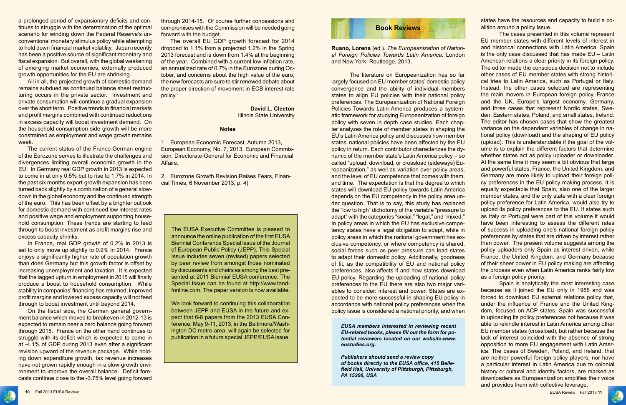

a prolonged period of expansionary deficits and continues to struggle with the determination of the optimal scenario for winding down the Federal Reserve's unconventional monetary stimulus policy while attempting to hold down financial market volatility. Japan recently has been a positive source of significant monetary and fiscal expansion. But overall, with the global weakening of emerging market economies, externally produced growth opportunities for the EU are shrinking.

All in all, the projected growth of domestic demand remains subdued as continued balance sheet restructuring occurs in the private sector. Investment and private consumption will continue a gradual expansion over the short term. Positive trends in financial markets and profit margins combined with continued reductions in excess capacity will boost investment demand. On the household consumption side growth will be more constrained as employment and wage growth remains weak.

The current status of the Franco-German engine of the Eurozone serves to illustrate the challenges and divergences limiting overall economic growth in the EU. In Germany real GDP growth in 2013 is expected to come in at only 0.5% but to rise to 1.7% in 2014. In the past six months export-growth expansion has been turned back slightly by a combination of a general slowdown in the global economy and the continued strength of the euro. This has been offset by a brighter outlook for domestic demand with continued low interest rates and positive wage and employment supporting household consumption. These trends are starting to feed through to boost investment as profit margins rise and excess capacity shrinks.

In France, real GDP growth of 0.2% in 2013 is set to only move up slightly to 0.9% in 2014. France enjoys a significantly higher rate of population growth than does Germany but this growth factor is offset by increasing unemployment and taxation. It is expected that the lagged upturn in employment in 2015 will finally produce a boost to household consumption. While stability in companies' financing has returned, improved profit margins and lowered excess capacity will not feed through to boost investment until beyond 2014.

On the fiscal side, the German general government balance which moved to breakeven in 2012-13 is expected to remain near a zero balance going forward through 2015. France on the other hand continues to struggle with its deficit which is expected to come in at -4.1% of GDP during 2013 even after a significant revision upward of the revenue package. While holding down expenditure growth, tax revenue increases have not grown rapidly enough in a slow-growth environment to improve the overall balance. Deficit forecasts continue close to the -3.75% level going forward

through 2014-15. Of course further concessions and compromises with the Commission will be needed going forward with the budget.

The overall EU GDP growth forecast for 2014 dropped to 1.1% from a projected 1.2% in the Spring 2013 forecast and is down from 1.4% at the beginning of the year. Combined with a current low inflation rate, an annualized rate of 0.7% in the Eurozone during October, and concerns about the high value of the euro, the new forecasts are sure to stir renewed debate about the proper direction of movement in ECB interest rate policy.2

> **David L. Cleeton** Illinois State University

### **Notes**

1 European Economic Forecast, Autumn 2013, European Economy, No. 7, 2013, European Commission, Directorate-General for Economic and Financial Affairs.

2 Eurozone Growth Revision Raises Fears, Financial Times, 6 November 2013, p. 4)

The EUSA Executive Committee is pleased to announce the online publication of the first EUSA Biennial Conference Special Issue of the Journal of European Public Policy (JEPP). This Special Issue includes seven (revised) papers selected by peer review from amongst those nominated by discussants and chairs as among the best presented at 2011 Biennial EUSA conference. The Special Issue can be found at http://www.tandfonline.com. The paper version is now available.

We look forward to continuing this collaboration between JEPP and EUSA in the future and expect that 6-8 papers from the 2013 EUSA Conference, May 9-11, 2013, in the Baltimore/Washington DC metro area, will again be selected for publication in a future special JEPP/EUSA issue.

*EUSA members interested in reviewing recent EU-related books, please fill out the form for potential reviewers located on our website-www. eustudies.org.*

*Publishers should send a review copy of books directly to the EUSA office, 415 Bellefield Hall, University of Pittsburgh, Pittsburgh, PA 15206, USA*





states have the resources and capacity to build a coalition around a policy issue.

**Ruano, Lorena** (ed.). *The Europeanization of National Foreign Policies Towards Latin America*. London and New York: Routledge, 2013. The literature on Europeanization has so far largely focused on EU member states' domestic policy convergence and the ability of individual members states to align EU policies with their national policy preferences. The Europeanization of National Foreign Policies Towards Latin America produces a systematic framework for studying Europeanization of foreign policy with seven in depth case studies. Each chapter analyzes the role of member states in shaping the EU's Latin America policy and discusses how member states' national policies have been affected by the EU policy in return. Each contributor characterizes the dynamic of the member state's Latin America policy – so called "upload, download, or crossload (sideways) Europeanization," as well as variation over policy areas, and the level of EU competence that comes with them, and time. The expectation is that the degree to which states will download EU policy towards Latin America depends on the EU competency in the policy area under question. That is to say, this study has replaced the "low to high" dichotomy of the variable "pressure to adapt" with the categories "social," "legal," and "mixed." In policy areas in which the EU has exclusive competency states have a legal obligation to adapt, while in policy areas in which the national government has exclusive competency, or where competency is shared, social forces such as peer pressure can lead states to adapt their domestic policy. Additionally, goodness of fit, as the compatibility of EU and national policy preferences, also affects if and how states download EU policy. Regarding the uploading of national policy preferences to the EU there are also two major variables to consider: interest and power. States are expected to be more successful in shaping EU policy in accordance with national policy preferences when the policy issue is considered a national priority, and when The cases presented in this volume represent EU member states with different levels of interest in and historical connections with Latin America. Spain is the only case discussed that has made EU – Latin American relations a clear priority in its foreign policy. The editor made the conscious decision not to include other cases of EU member states with strong historical tries to Latin America, such as Portugal or Italy. Instead, the other cases selected are representing the main movers in European foreign policy, France and the UK, Europe's largest economy, Germany, and three cases that represent Nordic states, Sweden, Eastern states, Poland, and small states, Ireland. The editor has chosen cases that show the greatest variance on the dependent variables of change in national policy (download) and the shaping of EU policy (upload). This is understandable if the goal of the volume is to explain the different factors that determine whether states act as policy uploader or downloader. At the same time it may seem a bit obvious that large and powerful states, France, the United Kingdom, and Germany are more likely to upload their foreign policy preferences in the EU policy making process. It is equally expectable that Spain, also one of the larger member states, and the only state with a clear foreign policy preference for Latin America, would also try to upload its policy preferences to the EU. If states such as Italy or Portugal were part of this volume it would have been interesting to assess the different rates of success in uploading one's national foreign policy preferences by states that are driven by interest rather than power. The present volume suggests among the policy uploaders only Spain as interest driven, while France, the United Kingdom, and Germany because of their sheer power in EU policy making are affecting the process even when Latin America ranks fairly low as a foreign policy priority. Spain is analytically the most interesting case because as it joined the EU only in 1986 and was forced to download EU external relations policy that, under the influence of France and the United Kingdom, focused on ACP states. Spain was successful

in uploading its policy preferences not because it was able to rekindle interest in Latin America among other EU member states (crossload), but rather because the lack of interest coincided with the absence of strong opposition to more EU engagement with Latin America. The cases of Sweden, Poland, and Ireland, that are neither powerful foreign policy players, nor have a particular interest in Latin America due to colonial history or cultural and identity factors, are marked as downloaders as Europeanization amplifies their voice and provides them with collective leverage.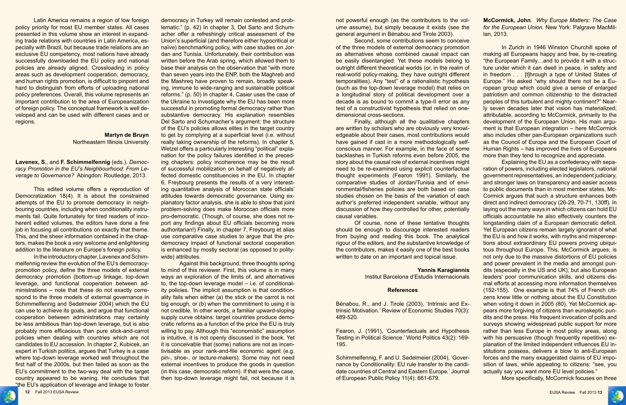

Latin America remains a region of low foreign policy priority for most EU member states. All cases presented in this volume show an interest in expanding trade relations with countries in Latin America, especially with Brazil, but because trade relations are an exclusive EU competency, most nations have already successfully downloaded the EU policy and national policies are already aligned. Crossloading in policy areas such as development cooperation, democracy, and human rights promotion, is difficult to pinpoint and hard to distinguish from efforts of uploading national policy preferences. Overall, this volume represents an important contribution to the area of Europeanization of foreign policy. The conceptual framework is well developed and can be used with different cases and or regions.

### **Martyn de Bruyn** Northeastern Illinois University

**Lavenex, S.**, and **F. Schimmelfennig** (eds.). *Democracy Promotion in the EU's Neighbourhood: From Leverage to Governance?* Abingdon: Routledge, 2013.

This edited volume offers a reproduction of Democratization 18(4). It is about the constrained attempts of the EU to promote democracy in neighbouring countries, including when conditionality instruments fail. Quite fortunately for tired readers of incoherent edited volumes, the editors have done a fine job in focusing all contributions on exactly that theme. This, and the sheer information contained in the chapters, makes the book a very welcome and enlightening addition to the literature on Europe's foreign policy.

In the introductory chapter, Lavenex and Schimmelfennig review the evolution of the EU's democracypromotion policy, define the three models of external democracy promotion (bottom-up linkage, top-down leverage, and functional cooperation between administrations – note that these do not exactly correspond to the three models of external governance in Schimmelfennig and Sedelmeier 2004) which the EU can use to achieve its goals, and argue that functional cooperation between administrations may certainly be less ambitious than top-down leverage, but is also probably more efficacious than pure stick-and-carrot policies when dealing with countries which are not candidates to EU accession. In chapter 2, Kubicek, an expert in Turkish politics, argues that Turkey is a case where top-down leverage worked well throughout the first half of the 2000s, but then failed as soon as the EU's commitment to the two-way deal with the target country appeared to be waning. He concludes that "the EU's application of leverage and linkage to foster

democracy in Turkey will remain contested and problematic." (p. 42) In chapter 3, Del Sarto and Schumacher offer a refreshingly critical assessment of the Union's superficial (and therefore either hypocritical or naïve) benchmarking policy, with case studies on Jordan and Tunisia. Unfortunately, their contribution was written before the Arab spring, which allowed them to base their analysis on the observation that "with more than seven years into the ENP, both the Maghreb and the Mashreq have proven to remain, broadly speaking, immune to wide-ranging and sustainable political reforms." (p. 50) In chapter 4, Casier uses the case of the Ukraine to investigate why the EU has been more successful in promoting formal democracy rather than substantive democracy. His explanation resembles Del Sarto and Schumacher's argument: the structure of the EU's policies allows elites in the target country to get by complying at a superficial level (i.e. without really taking ownership of the reforms). In chapter 5, Wetzel offers a particularly interesting "political" explanation for the policy failures identified in the preceding chapters: policy incoherence may be the result of successful mobilization on behalf of negatively affected domestic constituencies in the EU. In chapter 6, Freybourg presents the results of a very interesting quantitative analysis of Moroccan state officials' attitudes towards democratic governance. Using explanatory factor analysis, she is able to show that joint problem-solving does make Moroccan officials more pro-democratic. (Though, of course, she does not report any findings about EU officials becoming more authoritarian!) Finally, in chapter 7, Freybourg et alias use comparative case studies to argue that the prodemocracy impact of functional sectoral cooperation is enhanced by mostly sectoral (as opposed to politywide) attributes.

Against this background, three thoughts spring to mind of this reviewer. First, this volume is in many ways an exploration of the limits of, and alternatives to, the top-down leverage model – i.e. of conditionality policies. The implicit assumption is that conditionality fails when either (a) the stick or the carrot is not big enough, or (b) when the commitment to using it is not credible. In other words, a familiar upward-sloping supply curve obtains: target countries produce democratic reforms as a function of the price the EU is truly willing to pay. Although this "economistic" assumption is intuitive, it is not openly discussed in the book. Yet it is conceivable that (some) nations are not as incentivisable as your rank-and-file economic agent (e.g. pin-, shoe-, or lecture-makers). Some may not need external incentives to produce the goods in question (in this case, democratic reform). If that were the case, then top-down leverage might fail, not because it is

not powerful enough (as the contributors to the volume assume), but simply because it exists (see the general argument in Bénabou and Tirole 2003).

Second, some contributions seem to conceive of the three models of external democracy promotion as alternatives whose combined causal impact can be easily disentangled. Yet these models belong to outright different theoretical worlds (or, in the realm of real-world policy-making, they have outright different temporalities). Any "test" of a rationalistic hypothesis (such as the top-down leverage model) that relies on a longitudinal story of political development over a decade is as bound to commit a type-II error as any test of a constructivist hypothesis that relied on onedimensional cross-sections.

Finally, although all the qualitative chapters are written by scholars who are obviously very knowledgeable about their cases, most contributions would have gained if cast in a more methodologically selfconscious manner. For example, in the face of some backlashes in Turkish reforms even before 2005, the story about the causal role of external incentives might need to be re-examined using explicit counterfactual thought experiments (Fearon 1991). Similarly, the comparative studies of Jordan/Tunisia and of environmental/fisheries policies are both based on case studies chosen on the basis of the variation of each author's preferred independent variable, without any discussion of how they controlled for other, potentially causal variables.

Of course, none of these tentative thoughts should be enough to discourage interested readers from buying and reading this book. The analytical rigour of the editors, and the substantive knowledge of the contributors, makes it easily one of the best books written to date on an important and topical issue.

#### **Yannis Karagiannis**

Institut Barcelona d'Estudis Internacionals

### **References**

Bénabou, R., and J. Tirole (2003), 'Intrinsic and Extrinsic Motivation.' Review of Economic Studies 70(3): 489-520.

Fearon, J. (1991), 'Counterfactuals and Hypothesis Testing in Political Science.' World Politics 43(2): 169- 195.

Schimmelfennig, F. and U. Sedelmeier (2004), 'Governance by Conditionality: EU rule transfer to the candidate countries of Central and Eastern Europe.' Journal of European Public Policy 11(4): 661-679.



**McCormick, John**. *Why Europe Matters: The Case for the European Union.* New York: Palgrave MacMillan, 2013.

In Zurich in 1946 Winston Churchill spoke of making all Europeans happy and free, by re-creating "the European Family…and to provide it with a structure under which it can dwell in peace, in safety and in freedom . . . [t]hrough a type of United States of Europe." He asked "why should there not be a European group which could give a sense of enlarged patriotism and common citizenship to the distracted peoples of this turbulent and mighty continent?" Nearly seven decades later that vision has materialized; attributable, according to McCormick, primarily to the development of the European Union. His main argument is that European integration – here McCormick also includes other pan-European organizations such as the Council of Europe and the European Court of Human Rights – has improved the lives of Europeans more than they tend to recognize and appreciate.

Explaining the EU as a confederacy with separation of powers, including elected legislators, national government representatives, an independent judiciary, and stronger laws on transparency and easier access to public documents than in most member states, Mc-Cormick argues that such a structure enhances both direct and indirect democracy (26-29, 70-71, 130ff). In laying out the many ways in which citizens can hold EU officials accountable he also effectively counters the longstanding claim of a European democratic deficit. Yet European citizens remain largely ignorant of what the EU is and how it works, with myths and misperceptions about extraordinary EU powers proving ubiquitous throughout Europe. This, McCormick argues, is not only due to the massive distortions of EU policies and power prevalent in the media and amongst pundits (especially in the US and UK), but also European leaders' poor communication skills, and citizens dismal efforts at accessing more information themselves (152-155). One example is that 74% of French citizens knew little or nothing about the EU Constitution when voting it down in 2005 (80). Yet McCormick appears more forgiving of citizens than euroskeptic pundits and the press. His frequent invocation of polls and surveys showing widespread public support for more rather than less Europe in most policy areas, along with his persuasive (though frequently repetitive) explanation of the limited independent influences EU institutions possess, delivers a blow to anti-European forces and the many exaggerated claims of EU imposition of laws, while appealing to citizens: "see, you actually say you want more EU level policies."

More specifically, McCormick focuses on three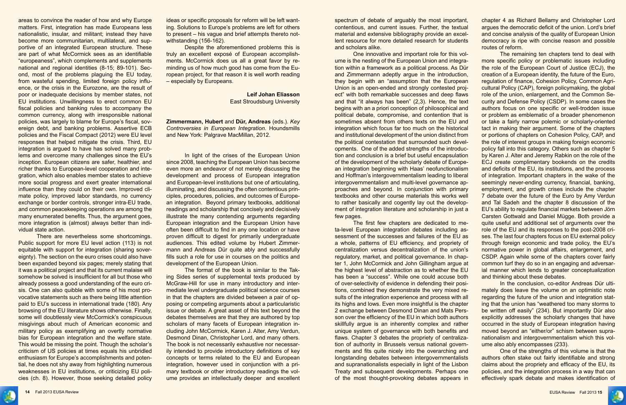

areas to convince the reader of how and why Europe matters. First, integration has made Europeans less nationalistic, insular, and militant; instead they have become more communitarian, multilateral, and supportive of an integrated European structure. These are part of what McCormick sees as an identifiable "europeaness", which complements and supplements national and regional identities (8-15; 89-101). Second, most of the problems plaguing the EU today, from wasteful spending, limited foreign policy influence, or the crisis in the Eurozone, are the result of poor or inadequate decisions by member states, not EU institutions. Unwillingness to erect common EU fiscal policies and banking rules to accompany the common currency, along with irresponsible national policies, was largely to blame for Europe's fiscal, sovereign debt, and banking problems. Assertive ECB policies and the Fiscal Compact (2012) were EU level responses that helped mitigate the crisis. Third, EU integration is argued to have has solved many problems and overcome many challenges since the EU's inception. European citizens are safer, healthier, and richer thanks to European-level cooperation and integration, which also enables member states to achieve more social progress and exert greater international influence than they could on their own. Improved climate policy, improved labor standards, no currency exchange or border controls, stronger intra-EU trade, and common peacekeeping operations are among the many enumerated benefits. Thus, the argument goes, more integration is (almost) always better than individual state action.

There are nevertheless some shortcomings. Public support for more EU level action (113) is not equitable with support for integration (sharing sovereignty). The section on the euro crises could also have been expanded beyond six pages; merely stating that it was a political project and that its current malaise will somehow be solved is insufficient for all but those who already possess a good understanding of the euro crisis. One can also quibble with some of his most provocative statements such as there being little attention paid to EU's success in international trade (180). Any browsing of the EU literature shows otherwise. Finally, some will doubtlessly view McCormick's conspicuous misgivings about much of American economic and military policy as exemplifying an overtly normative bias for European integration and the welfare state. This would be missing the point. Though the scholar's criticism of US policies at times equals his unbridled enthusiasm for Europe's accomplishments and potential, he does not shy away from highlighting numerous weaknesses in EU institutions, or criticizing EU policies (ch. 8). However, those seeking detailed policy

ideas or specific proposals for reform will be left wanting. Solutions to Europe's problems are left for others to present – his vague and brief attempts thereto notwithstanding (156-162).

Despite the aforementioned problems this is truly an excellent exposé of European accomplishments. McCormick does us all a great favor by reminding us of how much good has come from the European project, for that reason it is well worth reading – especially by Europeans.

> **Leif Johan Eliasson** East Stroudsburg University

**Zimmermann, Hubert** and **Dür, Andreas** (eds.). *Key Controversies in European Integration*. Houndsmills and New York: Palgrave MacMillan, 2012.

In light of the crises of the European Union since 2008, teaching the European Union has become even more an endeavor of not merely discussing the development and process of European integration and European-level institutions but one of articulating, illuminating, and discussing the often contentious principles, procedures, policies, and outcomes of European integration. Beyond primary textbooks, additional readings and scholarship that concisely and decisively illustrate the many contending arguments regarding European integration and the European Union have often been difficult to find in any one location or have proven difficult to digest for primarily undergraduate audiences. This edited volume by Hubert Zimmermann and Andreas Dür quite ably and successfully fills such a role for use in courses on the politics and development of the European Union.

The format of the book is similar to the Taking Sides series of supplemental texts produced by McGraw-Hill for use in many introductory and intermediate level undergraduate political science courses in that the chapters are divided between a pair of opposing or competing arguments about a particularistic issue or debate. A great asset of this text beyond the debates themselves are that they are authored by top scholars of many facets of European integration including John McCormick, Karen J. Alter, Amy Verdun, Desmond Dinan, Christopher Lord, and many others. The book is not necessarily exhaustive nor necessarily intended to provide introductory definitions of key concepts or terms related to the EU and European integration, however used in conjunction with a primary textbook or other introductory readings the volume provides an intellectually deeper and excellent spectrum of debate of arguably the most important, contentious, and current issues. Further, the textual material and extensive bibliography provide an excellent resource for more detailed research for students and scholars alike. chapter 4 as Richard Bellamy and Christopher Lord argues the democratic deficit of the union. Lord's brief and concise analysis of the quality of European Union democracy is ripe with concise reason and possible routes of reform.

has been a "success". While one could accuse both of over-selectivity of evidence in defending their positions, combined they demonstrate the very mixed results of the integration experience and process with all its highs and lows. Even more insightful is the chapter 2 exchange between Desmond Dinan and Mats Persson over the efficiency of the EU in which both authors skillfully argue is an inherently complex and rather unique system of governance with both benefits and flaws. Chapter 3 debates the propriety of centralization of authority in Brussels versus national governments and fits quite nicely into the overarching and longstanding debates between intergovernmentalists and supranationalists especially in light of the Lisbon Treaty and subsequent developments. Perhaps one of the most thought-provoking debates appears in



One innovative and important role for this volume is the nesting of the European Union and integration within a framework as a political process. As Dür and Zimmermann adeptly argue in the introduction, they begin with an "assumption that the European Union is an open-ended and strongly contested project" with both remarkable successes and deep flaws and that "it always has been" (2,3). Hence, the text begins with an a priori conception of philosophical and political debate, compromise, and contention that is sometimes absent from others texts on the EU and integration which focus far too much on the historical and institutional development of the union distinct from the political contestation that surrounded such developments. One of the added strengths of the introduction and conclusion is a brief but useful encapsulation of the development of the scholarly debate of European integration beginning with Haas' neofunctionalism and Hoffman's intergovernmentalism leading to liberal intergovernmentalism and multi-level governance approaches and beyond. In conjunction with primary textbooks and other course materials this works well to rather basically and cogently lay out the development of integration literature and scholarship in just a few pages. The first few chapters are dedicated to meta-level European integration debates including assessment of the successes and failures of the EU as a whole, patterns of EU efficiency, and propriety of centralization versus decentralization of the union's regulatory, market, and political governance. In chapter 1, John McCormick and John Gillingham argue at the highest level of abstraction as to whether the EU The remaining ten chapters tend to deal with more specific policy or problematic issues including the role of the European Court of Justice (ECJ), the creation of a European identity, the future of the Euro, regulation of finance, Cohesion Policy, Common Agricultural Policy (CAP), foreign policymaking, the global role of the union, enlargement, and the Common Security and Defense Policy (CSDP). In some cases the authors focus on one specific or well-trodden issue or problem as emblematic of a broader phenomenon or take a fairly narrow polemic or scholarly-oriented tact in making their argument. Some of the chapters or portions of chapters on Cohesion Policy, CAP, and the role of interest groups in making foreign economic policy fall into this category. Others such as chapter 5 by Karen J. Alter and Jeremy Rabkin on the role of the ECJ create complimentary bookends on the credits and deficits of the EU, its institutions, and the process of integration. Important chapters in the wake of the seemingly never-ending currency, financial, banking, employment, and growth crises include the chapter 7 debate over the future of the Euro by Amy Verdun and Tal Sadeh and the chapter 8 discussion of the EU's ability to regulate financial markets between Jörn Carsten Gottwald and Daniel Mügge. Both provide a quite useful and additional set of arguments over the role of the EU and its responses to the post-2008 crises. The last four chapters focus on EU external policy through foreign economic and trade policy, the EU's normative power in global affairs, enlargement, and CSDP. Again while some of the chapters cover fairly common turf they do so in an engaging and adversarial manner which lends to greater conceptualization and thinking about these debates.

> In the conclusion, co-editor Andreas Dür ultimately does leave the volume on an optimistic note regarding the future of the union and integration stating that the union has "weathered too many storms to be written off easily" (234). But importantly Dür also explicitly addresses the scholarly changes that have occurred in the study of European integration having moved beyond an "either/or" schism between supranationalism and intergovernmentalism which this volume also ably encompasses (233).

> One of the strengths of this volume is that the authors often stake out fairly identifiable and strong claims about the propriety and efficacy of the EU, its policies, and the integration process in a way that can effectively spark debate and makes identification of